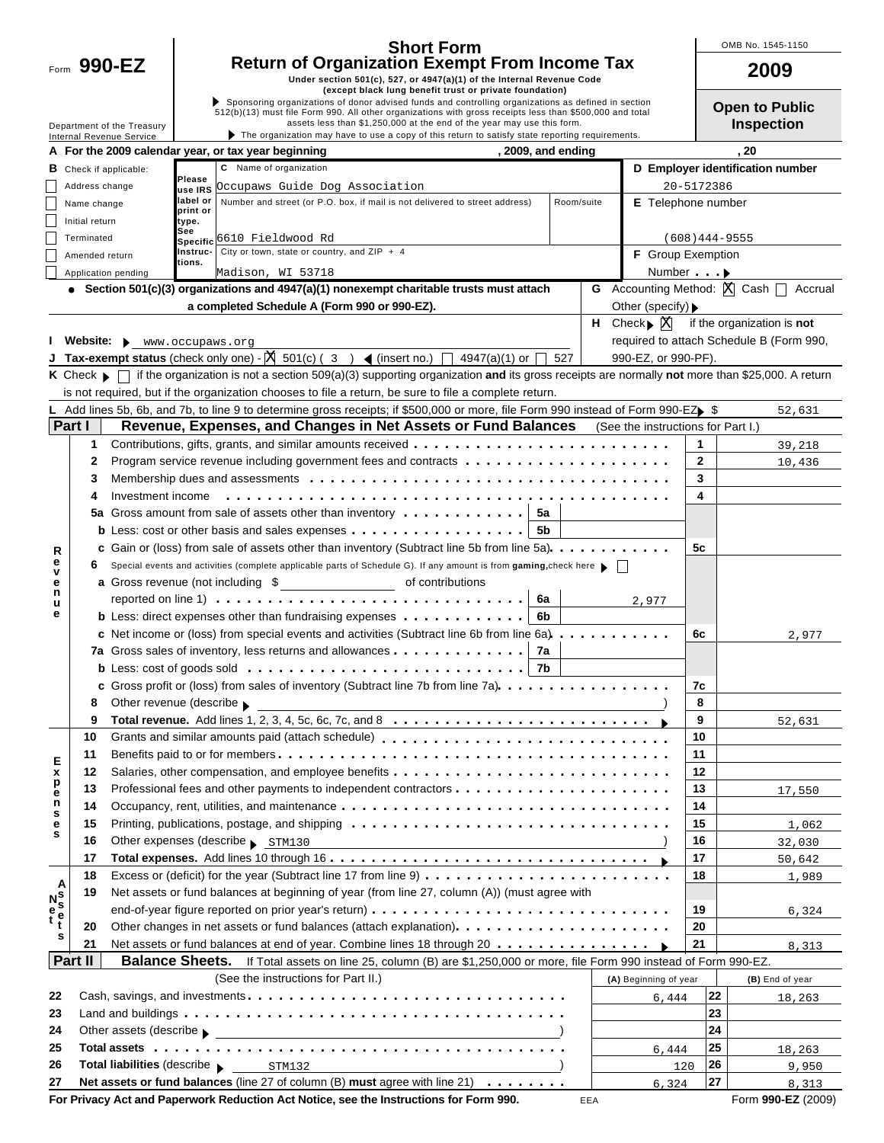|                            |                                                                                                                                  | <b>Short Form</b>                                                                                                                                                                                                                                                                         | OMB No. 1545-1                  |
|----------------------------|----------------------------------------------------------------------------------------------------------------------------------|-------------------------------------------------------------------------------------------------------------------------------------------------------------------------------------------------------------------------------------------------------------------------------------------|---------------------------------|
| Form $990$ -EZ             | <b>Return of Organization Exempt From Income Tax</b>                                                                             |                                                                                                                                                                                                                                                                                           | 2009                            |
|                            | Under section 501(c), 527, or 4947(a)(1) of the Internal Revenue Code<br>(except black lung benefit trust or private foundation) |                                                                                                                                                                                                                                                                                           |                                 |
| Department of the Treasury |                                                                                                                                  | Sponsoring organizations of donor advised funds and controlling organizations as defined in section<br>512(b)(13) must file Form 990. All other organizations with gross receipts less than \$500,000 and total<br>assets less than \$1,250,000 at the end of the year may use this form. | Open to Pul<br><b>Inspectio</b> |
| Internal Revenue Service   |                                                                                                                                  | $\blacktriangleright$ The organization may have to use a copy of this return to satisfy state reporting requirements.                                                                                                                                                                     |                                 |
|                            | A For the 2000 calendar year, or tax year beginning                                                                              | 2009 and anding                                                                                                                                                                                                                                                                           | 20                              |

 $\mathbf{I}$ 

|  | OMB No. 1545-1150 |
|--|-------------------|
|  |                   |

| . . |  |  |  |  |
|-----|--|--|--|--|

**Open to Public Inspection**

|                       | A For the 2009 calendar year, or tax year beginning<br>, 2009, and ending |                        |                                                                                                                                                                                                                                                                                                                              |  |            |  | , 20                                                        |                 |                                          |  |  |  |
|-----------------------|---------------------------------------------------------------------------|------------------------|------------------------------------------------------------------------------------------------------------------------------------------------------------------------------------------------------------------------------------------------------------------------------------------------------------------------------|--|------------|--|-------------------------------------------------------------|-----------------|------------------------------------------|--|--|--|
|                       | <b>B</b> Check if applicable:                                             |                        | C Name of organization                                                                                                                                                                                                                                                                                                       |  |            |  |                                                             |                 | D Employer identification number         |  |  |  |
|                       | Please<br>Address change<br>Occupaws Guide Dog Association<br>use IRS     |                        |                                                                                                                                                                                                                                                                                                                              |  |            |  |                                                             |                 | 20-5172386                               |  |  |  |
|                       | Name change                                                               | label or               | Number and street (or P.O. box, if mail is not delivered to street address)                                                                                                                                                                                                                                                  |  | Room/suite |  | <b>E</b> Telephone number                                   |                 |                                          |  |  |  |
|                       | print or<br>Initial return<br>type.                                       |                        |                                                                                                                                                                                                                                                                                                                              |  |            |  |                                                             |                 |                                          |  |  |  |
|                       | Terminated                                                                | See<br><b>Specific</b> | 6610 Fieldwood Rd                                                                                                                                                                                                                                                                                                            |  |            |  |                                                             | $(608)444-9555$ |                                          |  |  |  |
|                       | Amended return                                                            | Instruc-               | City or town, state or country, and $ZIP + 4$                                                                                                                                                                                                                                                                                |  |            |  | F Group Exemption                                           |                 |                                          |  |  |  |
|                       | Application pending                                                       | tions.                 | Madison, WI 53718                                                                                                                                                                                                                                                                                                            |  |            |  |                                                             | Number >        |                                          |  |  |  |
|                       |                                                                           |                        | • Section 501(c)(3) organizations and $4947(a)(1)$ nonexempt charitable trusts must attach                                                                                                                                                                                                                                   |  |            |  | <b>G</b> Accounting Method: $X \cap \mathbb{C}$ Cash $\Box$ |                 | Accrual                                  |  |  |  |
|                       |                                                                           |                        | a completed Schedule A (Form 990 or 990-EZ).                                                                                                                                                                                                                                                                                 |  |            |  | Other (specify) $\blacktriangleright$                       |                 |                                          |  |  |  |
|                       |                                                                           |                        |                                                                                                                                                                                                                                                                                                                              |  |            |  | <b>H</b> Check $\mathbb{X}$                                 |                 | if the organization is not               |  |  |  |
|                       | Website: www.occupaws.org                                                 |                        |                                                                                                                                                                                                                                                                                                                              |  |            |  |                                                             |                 | required to attach Schedule B (Form 990, |  |  |  |
|                       |                                                                           |                        | <b>Tax-exempt status</b> (check only one) - $\begin{bmatrix} \mathbb{X} & 501(c) & (3) \\ (3 & 1) & (4947(a)(1) & (168(a)(1) & (168(a)(1) & (168(a)(1) & (168(a)(1) & (168(a)(1) & (168(a)(1) & (168(a)(1) & (168(a)(1) & (168(a)(1) & (168(a)(1) & (168(a)(1) & (168(a)(1) & (168(a)(1) & (168(a)(1) & (168(a)(1) & (168(a$ |  | 527        |  | 990-EZ, or 990-PF).                                         |                 |                                          |  |  |  |
|                       |                                                                           |                        | K Check ▶ │ if the organization is not a section 509(a)(3) supporting organization and its gross receipts are normally not more than \$25,000. A return                                                                                                                                                                      |  |            |  |                                                             |                 |                                          |  |  |  |
|                       |                                                                           |                        | is not required, but if the organization chooses to file a return, be sure to file a complete return.                                                                                                                                                                                                                        |  |            |  |                                                             |                 |                                          |  |  |  |
|                       |                                                                           |                        | L Add lines 5b, 6b, and 7b, to line 9 to determine gross receipts; if \$500,000 or more, file Form 990 instead of Form 990-EZ $\triangleright$ \$                                                                                                                                                                            |  |            |  |                                                             |                 | 52,631                                   |  |  |  |
|                       | Part I                                                                    |                        | Revenue, Expenses, and Changes in Net Assets or Fund Balances                                                                                                                                                                                                                                                                |  |            |  | (See the instructions for Part I.)                          |                 |                                          |  |  |  |
|                       | 1                                                                         |                        |                                                                                                                                                                                                                                                                                                                              |  |            |  |                                                             | 1               | 39,218                                   |  |  |  |
|                       | 2                                                                         |                        |                                                                                                                                                                                                                                                                                                                              |  |            |  |                                                             | 2               | 10,436                                   |  |  |  |
|                       | 3                                                                         |                        |                                                                                                                                                                                                                                                                                                                              |  |            |  |                                                             | 3               |                                          |  |  |  |
|                       | Investment income<br>4                                                    |                        |                                                                                                                                                                                                                                                                                                                              |  |            |  |                                                             | 4               |                                          |  |  |  |
|                       |                                                                           |                        | 5a Gross amount from sale of assets other than inventory $\dots \dots \dots \dots$                                                                                                                                                                                                                                           |  |            |  |                                                             |                 |                                          |  |  |  |
|                       |                                                                           |                        | <b>b</b> Less: cost or other basis and sales expenses $\dots \dots \dots \dots \dots \dots$                                                                                                                                                                                                                                  |  |            |  |                                                             |                 |                                          |  |  |  |
|                       |                                                                           |                        | c Gain or (loss) from sale of assets other than inventory (Subtract line 5b from line 5a).                                                                                                                                                                                                                                   |  |            |  |                                                             | 5с              |                                          |  |  |  |
| R<br>е                | 6                                                                         |                        | Special events and activities (complete applicable parts of Schedule G). If any amount is from gaming, check here $\blacktriangleright$                                                                                                                                                                                      |  |            |  |                                                             |                 |                                          |  |  |  |
| е                     |                                                                           |                        |                                                                                                                                                                                                                                                                                                                              |  |            |  |                                                             |                 |                                          |  |  |  |
| n                     |                                                                           |                        |                                                                                                                                                                                                                                                                                                                              |  |            |  | 2,977                                                       |                 |                                          |  |  |  |
| е                     |                                                                           |                        | <b>b</b> Less: direct expenses other than fundraising expenses $\cdot \cdot \cdot \cdot \cdot \cdot \cdot \cdot \cdot \cdot$ 6b                                                                                                                                                                                              |  |            |  |                                                             |                 |                                          |  |  |  |
|                       |                                                                           |                        | c Net income or (loss) from special events and activities (Subtract line 6b from line 6a)                                                                                                                                                                                                                                    |  |            |  |                                                             | 6с              | 2,977                                    |  |  |  |
|                       |                                                                           |                        | 7a Gross sales of inventory, less returns and allowances $\ldots \ldots \ldots \ldots$ 7a                                                                                                                                                                                                                                    |  |            |  |                                                             |                 |                                          |  |  |  |
|                       |                                                                           |                        | <b>b</b> Less: cost of goods sold $\ldots \ldots \ldots \ldots \ldots \ldots \ldots \ldots \ldots \ldots$ 7b                                                                                                                                                                                                                 |  |            |  |                                                             |                 |                                          |  |  |  |
|                       |                                                                           |                        | c Gross profit or (loss) from sales of inventory (Subtract line 7b from line 7a).                                                                                                                                                                                                                                            |  |            |  |                                                             | 7c              |                                          |  |  |  |
|                       | Other revenue (describe $\blacktriangleright$<br>8                        |                        |                                                                                                                                                                                                                                                                                                                              |  |            |  |                                                             | 8               |                                          |  |  |  |
|                       | 9                                                                         |                        | Total revenue. Add lines 1, 2, 3, 4, 5c, 6c, 7c, and 8 $\dots \dots \dots \dots \dots \dots \dots \dots \dots$                                                                                                                                                                                                               |  |            |  |                                                             | 9               | 52,631                                   |  |  |  |
|                       | 10                                                                        |                        | Grants and similar amounts paid (attach schedule)                                                                                                                                                                                                                                                                            |  |            |  |                                                             | 10              |                                          |  |  |  |
|                       | 11                                                                        |                        |                                                                                                                                                                                                                                                                                                                              |  |            |  |                                                             | 11              |                                          |  |  |  |
| Ε<br>x                | 12                                                                        |                        |                                                                                                                                                                                                                                                                                                                              |  |            |  |                                                             | 12              |                                          |  |  |  |
| р                     | 13                                                                        |                        | Professional fees and other payments to independent contractors $\dots \dots \dots \dots \dots \dots \dots$                                                                                                                                                                                                                  |  |            |  |                                                             | 13              | 17,550                                   |  |  |  |
| ဗ<br>n                | 14                                                                        |                        |                                                                                                                                                                                                                                                                                                                              |  |            |  |                                                             | 14              |                                          |  |  |  |
| s<br>е                | 15                                                                        |                        |                                                                                                                                                                                                                                                                                                                              |  |            |  |                                                             | 15              | 1,062                                    |  |  |  |
| s                     | 16                                                                        |                        | Other expenses (describe > STM130                                                                                                                                                                                                                                                                                            |  |            |  |                                                             | 16              | 32,030                                   |  |  |  |
|                       | 17                                                                        |                        |                                                                                                                                                                                                                                                                                                                              |  |            |  |                                                             | 17              | 50,642                                   |  |  |  |
|                       | 18                                                                        |                        |                                                                                                                                                                                                                                                                                                                              |  |            |  |                                                             | 18              | 1,989                                    |  |  |  |
| A                     | 19                                                                        |                        | Net assets or fund balances at beginning of year (from line 27, column (A)) (must agree with                                                                                                                                                                                                                                 |  |            |  |                                                             |                 |                                          |  |  |  |
| $N_s$<br>$e_t$<br>$t$ |                                                                           |                        |                                                                                                                                                                                                                                                                                                                              |  |            |  |                                                             | 19              | 6,324                                    |  |  |  |
|                       | 20                                                                        |                        | Other changes in net assets or fund balances (attach explanation).                                                                                                                                                                                                                                                           |  |            |  |                                                             | 20              |                                          |  |  |  |
| s                     | 21                                                                        |                        | Net assets or fund balances at end of year. Combine lines 18 through 20 $\dots \dots \dots \dots$                                                                                                                                                                                                                            |  |            |  |                                                             | 21              | 8,313                                    |  |  |  |
|                       | Part II<br><b>Balance Sheets.</b>                                         |                        | If Total assets on line 25, column (B) are \$1,250,000 or more, file Form 990 instead of Form 990-EZ.                                                                                                                                                                                                                        |  |            |  |                                                             |                 |                                          |  |  |  |
|                       |                                                                           |                        | (See the instructions for Part II.)                                                                                                                                                                                                                                                                                          |  |            |  | (A) Beginning of year                                       |                 | (B) End of year                          |  |  |  |
| 22                    |                                                                           |                        |                                                                                                                                                                                                                                                                                                                              |  |            |  | 6,444                                                       | 22              | 18,263                                   |  |  |  |
| 23                    |                                                                           |                        |                                                                                                                                                                                                                                                                                                                              |  |            |  |                                                             | 23              |                                          |  |  |  |
| 24                    |                                                                           |                        |                                                                                                                                                                                                                                                                                                                              |  |            |  |                                                             | 24              |                                          |  |  |  |
| 25                    |                                                                           |                        |                                                                                                                                                                                                                                                                                                                              |  |            |  | 6,444                                                       | 25              | 18,263                                   |  |  |  |
| 26                    |                                                                           |                        | Total liabilities (describe > STM132                                                                                                                                                                                                                                                                                         |  |            |  | 120                                                         | 26              | 9,950                                    |  |  |  |
| 27                    |                                                                           |                        | Net assets or fund balances (line 27 of column (B) must agree with line 21)                                                                                                                                                                                                                                                  |  |            |  | 6,324                                                       | 27              | 8,313                                    |  |  |  |

**For Privacy Act and Paperwork Reduction Act Notice, see the Instructions for Form 990.**

EEA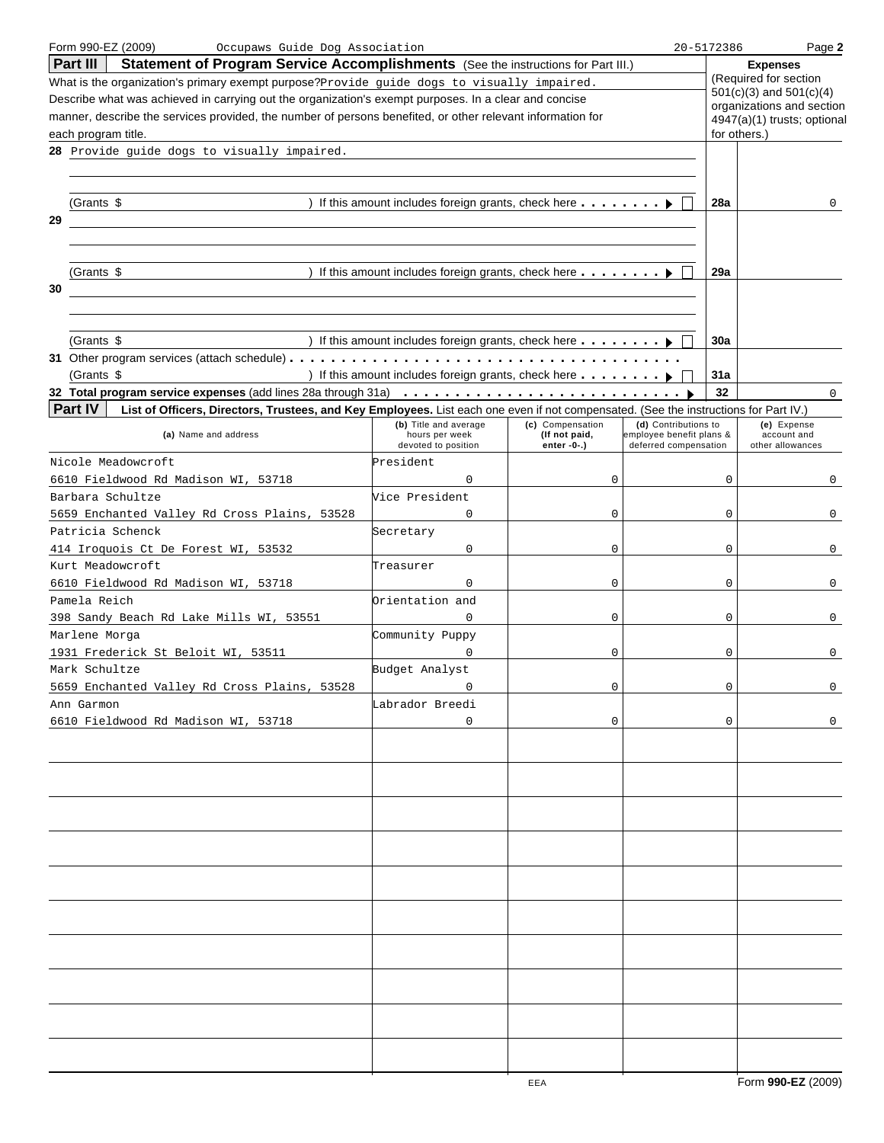| Form 990-EZ (2009)<br>Occupaws Guide Dog Association                                                                                 |                                                                      |                  |                          | 20-5172386   | Page 2                                               |
|--------------------------------------------------------------------------------------------------------------------------------------|----------------------------------------------------------------------|------------------|--------------------------|--------------|------------------------------------------------------|
| Part III<br>Statement of Program Service Accomplishments (See the instructions for Part III.)                                        |                                                                      |                  |                          |              | <b>Expenses</b>                                      |
| What is the organization's primary exempt purpose? Provide guide dogs to visually impaired.                                          |                                                                      |                  |                          |              | (Required for section<br>$501(c)(3)$ and $501(c)(4)$ |
| Describe what was achieved in carrying out the organization's exempt purposes. In a clear and concise                                |                                                                      |                  |                          |              | organizations and section                            |
| manner, describe the services provided, the number of persons benefited, or other relevant information for                           |                                                                      |                  |                          |              | 4947(a)(1) trusts; optional                          |
| each program title.                                                                                                                  |                                                                      |                  |                          | for others.) |                                                      |
| 28 Provide guide dogs to visually impaired.                                                                                          |                                                                      |                  |                          |              |                                                      |
|                                                                                                                                      |                                                                      |                  |                          |              |                                                      |
|                                                                                                                                      |                                                                      |                  |                          |              |                                                      |
| (Grants \$                                                                                                                           | ) If this amount includes foreign grants, check here $\dots \dots$   |                  |                          | <b>28a</b>   | 0                                                    |
| 29                                                                                                                                   |                                                                      |                  |                          |              |                                                      |
|                                                                                                                                      |                                                                      |                  |                          |              |                                                      |
|                                                                                                                                      |                                                                      |                  |                          |              |                                                      |
| (Grants \$                                                                                                                           | ) If this amount includes foreign grants, check here $\dots \dots$   |                  |                          | 29a          |                                                      |
| 30                                                                                                                                   |                                                                      |                  |                          |              |                                                      |
|                                                                                                                                      |                                                                      |                  |                          |              |                                                      |
|                                                                                                                                      |                                                                      |                  |                          |              |                                                      |
| (Grants \$                                                                                                                           | ) If this amount includes foreign grants, check here $\ldots \ldots$ |                  |                          | 30a          |                                                      |
|                                                                                                                                      |                                                                      |                  |                          |              |                                                      |
| (Grants \$                                                                                                                           | ) If this amount includes foreign grants, check here $\dots \dots$   |                  |                          | 31a          |                                                      |
|                                                                                                                                      |                                                                      |                  |                          | 32           |                                                      |
| Part IV                                                                                                                              |                                                                      |                  |                          |              | 0                                                    |
| List of Officers, Directors, Trustees, and Key Employees. List each one even if not compensated. (See the instructions for Part IV.) | (b) Title and average                                                | (c) Compensation | (d) Contributions to     |              | (e) Expense                                          |
| (a) Name and address                                                                                                                 | hours per week                                                       | (If not paid,    | employee benefit plans & |              | account and                                          |
|                                                                                                                                      | devoted to position                                                  | enter -0-.)      | deferred compensation    |              | other allowances                                     |
| Nicole Meadowcroft                                                                                                                   | President                                                            |                  |                          |              |                                                      |
| 6610 Fieldwood Rd Madison WI, 53718                                                                                                  | $\mathbf 0$                                                          | 0                |                          | $\Omega$     | $\mathbf{0}$                                         |
| Barbara Schultze                                                                                                                     | Vice President                                                       |                  |                          |              |                                                      |
| 5659 Enchanted Valley Rd Cross Plains, 53528                                                                                         | 0                                                                    | 0                |                          | 0            | $\mathbf{0}$                                         |
| Patricia Schenck                                                                                                                     | Secretary                                                            |                  |                          |              |                                                      |
| 414 Iroquois Ct De Forest WI, 53532                                                                                                  | 0                                                                    | 0                |                          | 0            | $\overline{0}$                                       |
| Kurt Meadowcroft                                                                                                                     | Treasurer                                                            |                  |                          |              |                                                      |
| 6610 Fieldwood Rd Madison WI, 53718                                                                                                  | 0                                                                    | 0                |                          | 0            | 0                                                    |
| Pamela Reich                                                                                                                         | Orientation and                                                      |                  |                          |              |                                                      |
| 398 Sandy Beach Rd Lake Mills WI, 53551                                                                                              | $\mathbf{0}$                                                         | 0                |                          | 0            | $\overline{0}$                                       |
| Marlene Morga                                                                                                                        | Community Puppy                                                      |                  |                          |              |                                                      |
| 1931 Frederick St Beloit WI, 53511                                                                                                   | 0                                                                    | 0                |                          | 0            | 0                                                    |
| Mark Schultze                                                                                                                        | Budget Analyst                                                       |                  |                          |              |                                                      |
| 5659 Enchanted Valley Rd Cross Plains,<br>53528                                                                                      | $\Omega$                                                             | $\Omega$         |                          | $\Omega$     | $\cap$                                               |
| Ann Garmon                                                                                                                           | Labrador Breedi                                                      |                  |                          |              |                                                      |
| 6610 Fieldwood Rd Madison WI, 53718                                                                                                  | 0                                                                    | 0                |                          | 0            | 0                                                    |
|                                                                                                                                      |                                                                      |                  |                          |              |                                                      |
|                                                                                                                                      |                                                                      |                  |                          |              |                                                      |
|                                                                                                                                      |                                                                      |                  |                          |              |                                                      |
|                                                                                                                                      |                                                                      |                  |                          |              |                                                      |
|                                                                                                                                      |                                                                      |                  |                          |              |                                                      |
|                                                                                                                                      |                                                                      |                  |                          |              |                                                      |
|                                                                                                                                      |                                                                      |                  |                          |              |                                                      |
|                                                                                                                                      |                                                                      |                  |                          |              |                                                      |
|                                                                                                                                      |                                                                      |                  |                          |              |                                                      |
|                                                                                                                                      |                                                                      |                  |                          |              |                                                      |
|                                                                                                                                      |                                                                      |                  |                          |              |                                                      |
|                                                                                                                                      |                                                                      |                  |                          |              |                                                      |
|                                                                                                                                      |                                                                      |                  |                          |              |                                                      |
|                                                                                                                                      |                                                                      |                  |                          |              |                                                      |
|                                                                                                                                      |                                                                      |                  |                          |              |                                                      |
|                                                                                                                                      |                                                                      |                  |                          |              |                                                      |
|                                                                                                                                      |                                                                      |                  |                          |              |                                                      |
|                                                                                                                                      |                                                                      |                  |                          |              |                                                      |
|                                                                                                                                      |                                                                      |                  |                          |              |                                                      |
|                                                                                                                                      |                                                                      |                  |                          |              |                                                      |
|                                                                                                                                      |                                                                      |                  |                          |              |                                                      |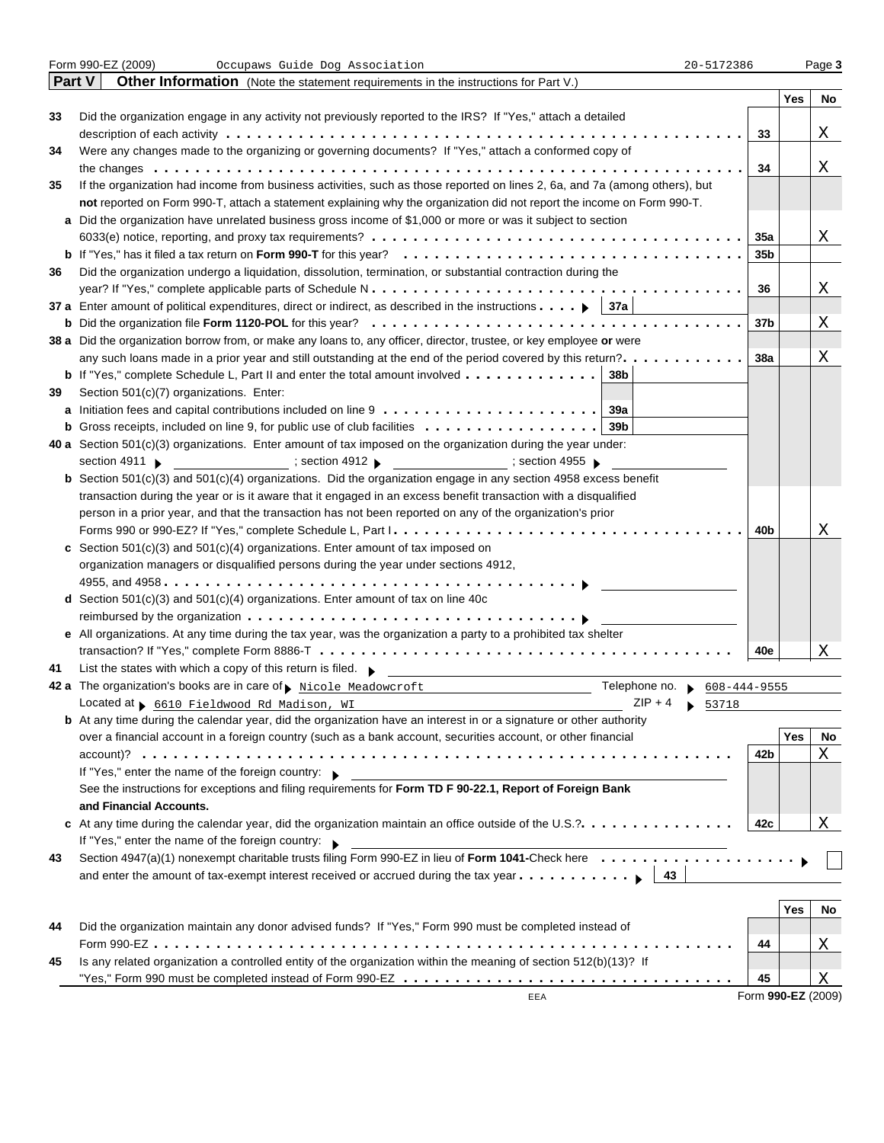|    | Form 990-EZ (2009)<br>Occupaws Guide Dog Association<br>20-5172386                                                                   |                    |     | Page 3 |
|----|--------------------------------------------------------------------------------------------------------------------------------------|--------------------|-----|--------|
|    | Part V<br><b>Other Information</b> (Note the statement requirements in the instructions for Part V.)                                 |                    |     |        |
|    |                                                                                                                                      |                    | Yes | No     |
| 33 | Did the organization engage in any activity not previously reported to the IRS? If "Yes," attach a detailed                          |                    |     |        |
|    |                                                                                                                                      | 33                 |     | Χ      |
| 34 | Were any changes made to the organizing or governing documents? If "Yes," attach a conformed copy of                                 |                    |     |        |
|    |                                                                                                                                      | 34                 |     | Χ      |
| 35 | If the organization had income from business activities, such as those reported on lines 2, 6a, and 7a (among others), but           |                    |     |        |
|    | not reported on Form 990-T, attach a statement explaining why the organization did not report the income on Form 990-T.              |                    |     |        |
|    | a Did the organization have unrelated business gross income of \$1,000 or more or was it subject to section                          |                    |     |        |
|    |                                                                                                                                      | 35a                |     | Χ      |
|    |                                                                                                                                      | 35b                |     |        |
| 36 | Did the organization undergo a liquidation, dissolution, termination, or substantial contraction during the                          |                    |     |        |
|    |                                                                                                                                      | 36                 |     | Χ      |
|    | 37 a Enter amount of political expenditures, direct or indirect, as described in the instructions $\ldots$ $\blacktriangleright$ 37a |                    |     |        |
|    |                                                                                                                                      | 37b                |     | Χ      |
|    | 38 a Did the organization borrow from, or make any loans to, any officer, director, trustee, or key employee or were                 |                    |     |        |
|    | any such loans made in a prior year and still outstanding at the end of the period covered by this return?.                          | 38a                |     | Χ      |
|    | <b>b</b> If "Yes," complete Schedule L, Part II and enter the total amount involved<br>38b                                           |                    |     |        |
| 39 | Section 501(c)(7) organizations. Enter:                                                                                              |                    |     |        |
|    | 39a                                                                                                                                  |                    |     |        |
|    | <b>b</b> Gross receipts, included on line 9, for public use of club facilities $\ldots \ldots \ldots \ldots \ldots$<br>39b           |                    |     |        |
|    | 40 a Section 501(c)(3) organizations. Enter amount of tax imposed on the organization during the year under:                         |                    |     |        |
|    | section 4911 $\blacktriangleright$                                                                                                   |                    |     |        |
|    | <b>b</b> Section $501(c)(3)$ and $501(c)(4)$ organizations. Did the organization engage in any section 4958 excess benefit           |                    |     |        |
|    | transaction during the year or is it aware that it engaged in an excess benefit transaction with a disqualified                      |                    |     |        |
|    | person in a prior year, and that the transaction has not been reported on any of the organization's prior                            |                    |     |        |
|    |                                                                                                                                      | 40b                |     | Χ      |
|    | c Section $501(c)(3)$ and $501(c)(4)$ organizations. Enter amount of tax imposed on                                                  |                    |     |        |
|    | organization managers or disqualified persons during the year under sections 4912,                                                   |                    |     |        |
|    |                                                                                                                                      |                    |     |        |
|    | d Section $501(c)(3)$ and $501(c)(4)$ organizations. Enter amount of tax on line 40c                                                 |                    |     |        |
|    |                                                                                                                                      |                    |     |        |
|    | e All organizations. At any time during the tax year, was the organization a party to a prohibited tax shelter                       |                    |     |        |
|    |                                                                                                                                      | 40e                |     | X      |
| 41 | List the states with which a copy of this return is filed. $\blacktriangleright$                                                     |                    |     |        |
|    | 42 a The organization's books are in care of p Nicole Meadowcroft<br>Telephone no. $\bullet$ 608-444-9555                            |                    |     |        |
|    | $ZIP + 4$ \$ 53718<br>Located at 5610 Fieldwood Rd Madison, WI                                                                       |                    |     |        |
|    | <b>b</b> At any time during the calendar year, did the organization have an interest in or a signature or other authority            |                    |     |        |
|    | over a financial account in a foreign country (such as a bank account, securities account, or other financial                        |                    | Yes | No     |
|    |                                                                                                                                      | 42b                |     | Χ      |
|    | If "Yes," enter the name of the foreign country:                                                                                     |                    |     |        |
|    | See the instructions for exceptions and filing requirements for Form TD F 90-22.1, Report of Foreign Bank                            |                    |     |        |
|    | and Financial Accounts.                                                                                                              |                    |     |        |
|    | c At any time during the calendar year, did the organization maintain an office outside of the U.S.?.                                | 42c                |     | Χ      |
|    | If "Yes," enter the name of the foreign country: $\blacktriangleright$                                                               |                    |     |        |
| 43 | Section 4947(a)(1) nonexempt charitable trusts filing Form 990-EZ in lieu of Form 1041-Check here                                    |                    |     |        |
|    | and enter the amount of tax-exempt interest received or accrued during the tax year   43                                             |                    |     |        |
|    |                                                                                                                                      |                    |     |        |
|    |                                                                                                                                      |                    | Yes | No     |
| 44 | Did the organization maintain any donor advised funds? If "Yes," Form 990 must be completed instead of                               |                    |     |        |
|    |                                                                                                                                      | 44                 |     | Χ      |
| 45 | Is any related organization a controlled entity of the organization within the meaning of section 512(b)(13)? If                     |                    |     |        |
|    |                                                                                                                                      | 45                 |     | Χ      |
|    | EEA                                                                                                                                  | Form 990-EZ (2009) |     |        |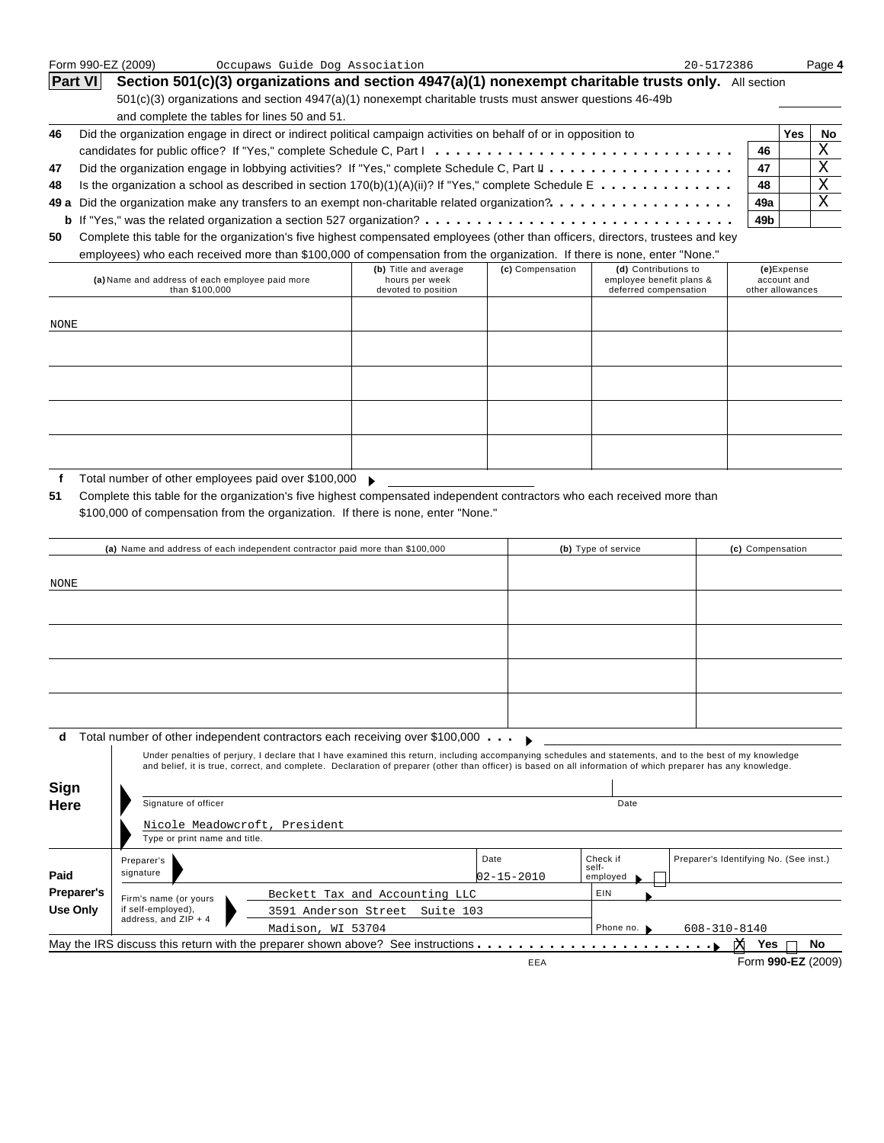| Form 990-EZ (2009)<br>Occupaws Guide Dog Association |                                                                                                                                                                                                      | 20-5172386 |     | Page 4 |  |
|------------------------------------------------------|------------------------------------------------------------------------------------------------------------------------------------------------------------------------------------------------------|------------|-----|--------|--|
|                                                      | <b>Part VI</b><br>Section 501(c)(3) organizations and section 4947(a)(1) nonexempt charitable trusts only. All section                                                                               |            |     |        |  |
|                                                      | $501(c)(3)$ organizations and section $4947(a)(1)$ nonexempt charitable trusts must answer questions 46-49b                                                                                          |            |     |        |  |
|                                                      | and complete the tables for lines 50 and 51.                                                                                                                                                         |            |     |        |  |
| 46                                                   | Did the organization engage in direct or indirect political campaign activities on behalf of or in opposition to                                                                                     |            | Yes | No.    |  |
|                                                      |                                                                                                                                                                                                      | 46         |     | Χ      |  |
| 47                                                   | Did the organization engage in lobbying activities? If "Yes," complete Schedule C, Part $\mathbf{l} \cdot \cdot \cdot \cdot \cdot \cdot \cdot \cdot \cdot \cdot \cdot \cdot \cdot \cdot \cdot \cdot$ | 47         |     | Χ      |  |
| 48                                                   | Is the organization a school as described in section $170(b)(1)(A)(ii)?$ If "Yes," complete Schedule E                                                                                               | 48         |     | Χ      |  |
|                                                      | 49 a Did the organization make any transfers to an exempt non-charitable related organization?.                                                                                                      | 49a        |     | Χ      |  |
|                                                      |                                                                                                                                                                                                      | 49b        |     |        |  |
| 50                                                   | Complete this table for the organization's five highest compensated employees (other than officers, directors, trustees and key                                                                      |            |     |        |  |

employees) who each received more than \$100,000 of compensation from the organization. If there is none, enter "None."

|                                                 | Chipioyoo) who cadil roodived more than $\psi$ roo,000 or compenioation nom the organization. In there is none, chief "rone." |                  |                          |                  |  |  |  |  |  |
|-------------------------------------------------|-------------------------------------------------------------------------------------------------------------------------------|------------------|--------------------------|------------------|--|--|--|--|--|
|                                                 | (b) Title and average                                                                                                         | (c) Compensation | (d) Contributions to     | (e)Expense       |  |  |  |  |  |
| (a) Name and address of each employee paid more | hours per week                                                                                                                |                  | employee benefit plans & | account and      |  |  |  |  |  |
| than \$100,000                                  | devoted to position                                                                                                           |                  | deferred compensation    | other allowances |  |  |  |  |  |
|                                                 |                                                                                                                               |                  |                          |                  |  |  |  |  |  |
|                                                 |                                                                                                                               |                  |                          |                  |  |  |  |  |  |
|                                                 |                                                                                                                               |                  |                          |                  |  |  |  |  |  |
| NONE                                            |                                                                                                                               |                  |                          |                  |  |  |  |  |  |
|                                                 |                                                                                                                               |                  |                          |                  |  |  |  |  |  |
|                                                 |                                                                                                                               |                  |                          |                  |  |  |  |  |  |
|                                                 |                                                                                                                               |                  |                          |                  |  |  |  |  |  |
|                                                 |                                                                                                                               |                  |                          |                  |  |  |  |  |  |
|                                                 |                                                                                                                               |                  |                          |                  |  |  |  |  |  |
|                                                 |                                                                                                                               |                  |                          |                  |  |  |  |  |  |
|                                                 |                                                                                                                               |                  |                          |                  |  |  |  |  |  |
|                                                 |                                                                                                                               |                  |                          |                  |  |  |  |  |  |
|                                                 |                                                                                                                               |                  |                          |                  |  |  |  |  |  |
|                                                 |                                                                                                                               |                  |                          |                  |  |  |  |  |  |
|                                                 |                                                                                                                               |                  |                          |                  |  |  |  |  |  |
|                                                 |                                                                                                                               |                  |                          |                  |  |  |  |  |  |
|                                                 |                                                                                                                               |                  |                          |                  |  |  |  |  |  |
|                                                 |                                                                                                                               |                  |                          |                  |  |  |  |  |  |

**f** Total number of other employees paid over \$100,000

**51** Complete this table for the organization's five highest compensated independent contractors who each received more than \$100,000 of compensation from the organization. If there is none, enter "None."

|             |                               | (a) Name and address of each independent contractor paid more than \$100,000                                                                                                                                                                                                                                             |                  | (b) Type of service | (c) Compensation                       |  |
|-------------|-------------------------------|--------------------------------------------------------------------------------------------------------------------------------------------------------------------------------------------------------------------------------------------------------------------------------------------------------------------------|------------------|---------------------|----------------------------------------|--|
| <b>NONE</b> |                               |                                                                                                                                                                                                                                                                                                                          |                  |                     |                                        |  |
|             |                               |                                                                                                                                                                                                                                                                                                                          |                  |                     |                                        |  |
|             |                               |                                                                                                                                                                                                                                                                                                                          |                  |                     |                                        |  |
|             |                               |                                                                                                                                                                                                                                                                                                                          |                  |                     |                                        |  |
|             |                               |                                                                                                                                                                                                                                                                                                                          |                  |                     |                                        |  |
| d           |                               | Total number of other independent contractors each receiving over \$100,000                                                                                                                                                                                                                                              |                  |                     |                                        |  |
|             |                               | Under penalties of perjury, I declare that I have examined this return, including accompanying schedules and statements, and to the best of my knowledge<br>and belief, it is true, correct, and complete. Declaration of preparer (other than officer) is based on all information of which preparer has any knowledge. |                  |                     |                                        |  |
| Sign        |                               |                                                                                                                                                                                                                                                                                                                          |                  |                     |                                        |  |
| Here        | Signature of officer          |                                                                                                                                                                                                                                                                                                                          | Date             |                     |                                        |  |
|             | Nicole Meadowcroft, President |                                                                                                                                                                                                                                                                                                                          |                  |                     |                                        |  |
|             | Type or print name and title. |                                                                                                                                                                                                                                                                                                                          |                  |                     |                                        |  |
|             | Preparer's                    |                                                                                                                                                                                                                                                                                                                          | Date             | Check if<br>self-   | Preparer's Identifying No. (See inst.) |  |
| Paid        | signature                     |                                                                                                                                                                                                                                                                                                                          | $02 - 15 - 2010$ | employed            |                                        |  |
| Preparer's  | Firm's name (or yours         | Beckett Tax and Accounting LLC                                                                                                                                                                                                                                                                                           |                  | EIN                 |                                        |  |
| Use Only    | if self-employed),            | 3591 Anderson Street Suite 103                                                                                                                                                                                                                                                                                           |                  |                     |                                        |  |
|             | address, and ZIP + 4          | Madison, WI 53704                                                                                                                                                                                                                                                                                                        |                  | Phone no.           | 608-310-8140                           |  |
|             |                               | May the IRS discuss this return with the preparer shown above? See instructions $\dots \dots \dots \dots \dots \dots \dots$                                                                                                                                                                                              |                  |                     | No<br>Yes<br><b>X</b>                  |  |
|             |                               |                                                                                                                                                                                                                                                                                                                          | EEA              |                     | Form 990-EZ (2009)                     |  |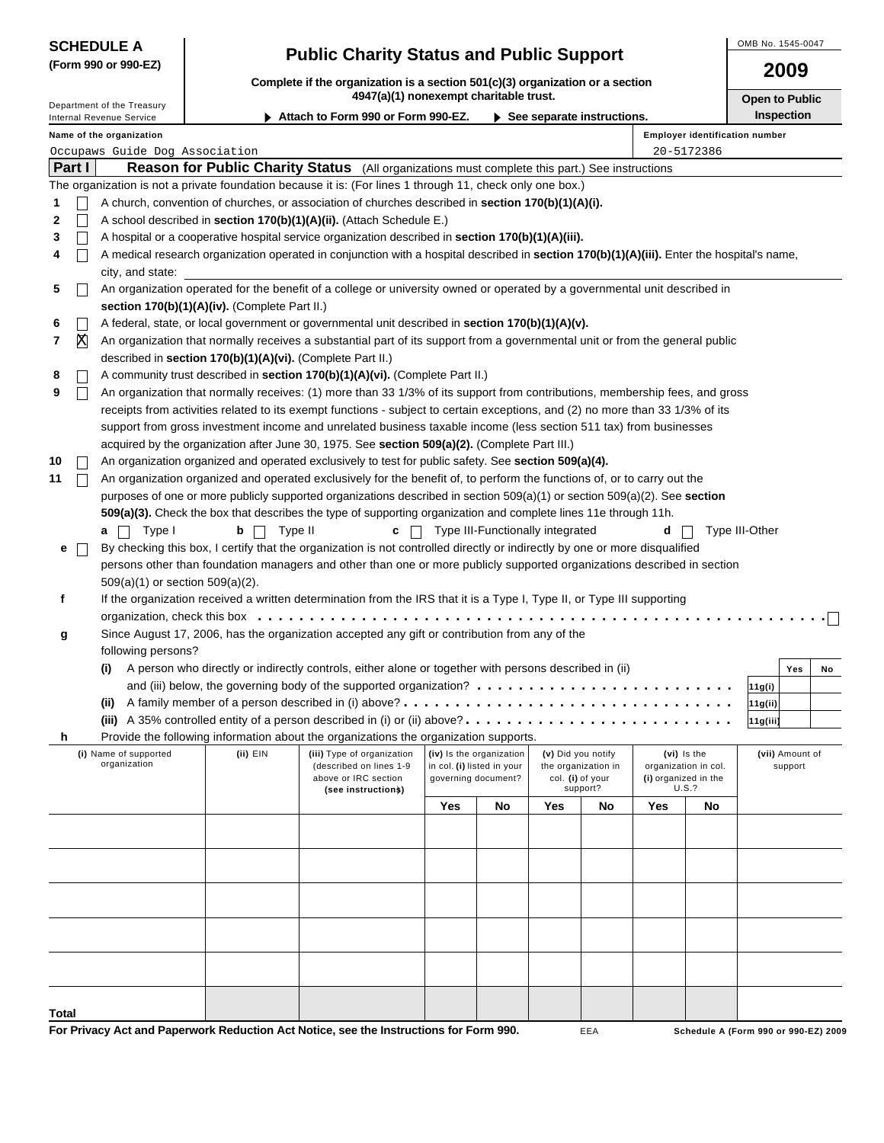| <b>SCHEDULE A</b>    |  |
|----------------------|--|
| (Form 990 or 990-EZ) |  |

## **Public Charity Status and Public Support**

OMB No. 1545-0047

**2009**

| Complete if the organization is a section 501(c)(3) organization or a section |
|-------------------------------------------------------------------------------|
| 4947(a)(1) nonexempt charitable trust.                                        |

| Department of the Treasury |                                                                                                                                            |                                       |                                                            | 4947(a)(1) nonexempt charitable trust.                                                                                                                                                                                                               |                                             |                                                        |                    |                     |     |                                       | <b>Open to Public</b> |                            |    |  |
|----------------------------|--------------------------------------------------------------------------------------------------------------------------------------------|---------------------------------------|------------------------------------------------------------|------------------------------------------------------------------------------------------------------------------------------------------------------------------------------------------------------------------------------------------------------|---------------------------------------------|--------------------------------------------------------|--------------------|---------------------|-----|---------------------------------------|-----------------------|----------------------------|----|--|
|                            |                                                                                                                                            | Internal Revenue Service              |                                                            | Attach to Form 990 or Form 990-EZ.                                                                                                                                                                                                                   | $\triangleright$ See separate instructions. |                                                        |                    |                     |     |                                       | <b>Inspection</b>     |                            |    |  |
|                            |                                                                                                                                            | Name of the organization              |                                                            |                                                                                                                                                                                                                                                      |                                             |                                                        |                    |                     |     | <b>Employer identification number</b> |                       |                            |    |  |
|                            |                                                                                                                                            | Occupaws Guide Dog Association        |                                                            |                                                                                                                                                                                                                                                      |                                             |                                                        |                    |                     |     | 20-5172386                            |                       |                            |    |  |
|                            | Part I                                                                                                                                     |                                       |                                                            | Reason for Public Charity Status (All organizations must complete this part.) See instructions                                                                                                                                                       |                                             |                                                        |                    |                     |     |                                       |                       |                            |    |  |
|                            |                                                                                                                                            |                                       |                                                            | The organization is not a private foundation because it is: (For lines 1 through 11, check only one box.)                                                                                                                                            |                                             |                                                        |                    |                     |     |                                       |                       |                            |    |  |
| 1                          |                                                                                                                                            |                                       |                                                            | A church, convention of churches, or association of churches described in section 170(b)(1)(A)(i).                                                                                                                                                   |                                             |                                                        |                    |                     |     |                                       |                       |                            |    |  |
| 2                          |                                                                                                                                            |                                       |                                                            | A school described in section 170(b)(1)(A)(ii). (Attach Schedule E.)                                                                                                                                                                                 |                                             |                                                        |                    |                     |     |                                       |                       |                            |    |  |
| 3                          |                                                                                                                                            |                                       |                                                            | A hospital or a cooperative hospital service organization described in section 170(b)(1)(A)(iii).                                                                                                                                                    |                                             |                                                        |                    |                     |     |                                       |                       |                            |    |  |
| 4                          | A medical research organization operated in conjunction with a hospital described in section 170(b)(1)(A)(iii). Enter the hospital's name, |                                       |                                                            |                                                                                                                                                                                                                                                      |                                             |                                                        |                    |                     |     |                                       |                       |                            |    |  |
|                            | city, and state:                                                                                                                           |                                       |                                                            |                                                                                                                                                                                                                                                      |                                             |                                                        |                    |                     |     |                                       |                       |                            |    |  |
| 5                          |                                                                                                                                            |                                       |                                                            | An organization operated for the benefit of a college or university owned or operated by a governmental unit described in                                                                                                                            |                                             |                                                        |                    |                     |     |                                       |                       |                            |    |  |
|                            |                                                                                                                                            |                                       | section 170(b)(1)(A)(iv). (Complete Part II.)              |                                                                                                                                                                                                                                                      |                                             |                                                        |                    |                     |     |                                       |                       |                            |    |  |
| 6                          |                                                                                                                                            |                                       |                                                            | A federal, state, or local government or governmental unit described in section 170(b)(1)(A)(v).                                                                                                                                                     |                                             |                                                        |                    |                     |     |                                       |                       |                            |    |  |
| 7                          | X                                                                                                                                          |                                       |                                                            | An organization that normally receives a substantial part of its support from a governmental unit or from the general public                                                                                                                         |                                             |                                                        |                    |                     |     |                                       |                       |                            |    |  |
|                            |                                                                                                                                            |                                       | described in section 170(b)(1)(A)(vi). (Complete Part II.) |                                                                                                                                                                                                                                                      |                                             |                                                        |                    |                     |     |                                       |                       |                            |    |  |
| 8                          |                                                                                                                                            |                                       |                                                            | A community trust described in section 170(b)(1)(A)(vi). (Complete Part II.)                                                                                                                                                                         |                                             |                                                        |                    |                     |     |                                       |                       |                            |    |  |
| 9                          |                                                                                                                                            |                                       |                                                            | An organization that normally receives: (1) more than 33 1/3% of its support from contributions, membership fees, and gross                                                                                                                          |                                             |                                                        |                    |                     |     |                                       |                       |                            |    |  |
|                            |                                                                                                                                            |                                       |                                                            | receipts from activities related to its exempt functions - subject to certain exceptions, and (2) no more than 33 1/3% of its                                                                                                                        |                                             |                                                        |                    |                     |     |                                       |                       |                            |    |  |
|                            |                                                                                                                                            |                                       |                                                            | support from gross investment income and unrelated business taxable income (less section 511 tax) from businesses                                                                                                                                    |                                             |                                                        |                    |                     |     |                                       |                       |                            |    |  |
|                            |                                                                                                                                            |                                       |                                                            | acquired by the organization after June 30, 1975. See section 509(a)(2). (Complete Part III.)                                                                                                                                                        |                                             |                                                        |                    |                     |     |                                       |                       |                            |    |  |
| 10                         |                                                                                                                                            |                                       |                                                            | An organization organized and operated exclusively to test for public safety. See section 509(a)(4).                                                                                                                                                 |                                             |                                                        |                    |                     |     |                                       |                       |                            |    |  |
| 11                         |                                                                                                                                            |                                       |                                                            | An organization organized and operated exclusively for the benefit of, to perform the functions of, or to carry out the<br>purposes of one or more publicly supported organizations described in section 509(a)(1) or section 509(a)(2). See section |                                             |                                                        |                    |                     |     |                                       |                       |                            |    |  |
|                            |                                                                                                                                            |                                       |                                                            | 509(a)(3). Check the box that describes the type of supporting organization and complete lines 11e through 11h.                                                                                                                                      |                                             |                                                        |                    |                     |     |                                       |                       |                            |    |  |
|                            |                                                                                                                                            | Type I<br>a                           | Type II<br>$b$                                             | $c \mid \mid$                                                                                                                                                                                                                                        |                                             | Type III-Functionally integrated                       |                    |                     | d   |                                       | Type III-Other        |                            |    |  |
| е                          |                                                                                                                                            |                                       |                                                            | By checking this box, I certify that the organization is not controlled directly or indirectly by one or more disqualified                                                                                                                           |                                             |                                                        |                    |                     |     |                                       |                       |                            |    |  |
|                            |                                                                                                                                            |                                       |                                                            | persons other than foundation managers and other than one or more publicly supported organizations described in section                                                                                                                              |                                             |                                                        |                    |                     |     |                                       |                       |                            |    |  |
|                            |                                                                                                                                            | $509(a)(1)$ or section $509(a)(2)$ .  |                                                            |                                                                                                                                                                                                                                                      |                                             |                                                        |                    |                     |     |                                       |                       |                            |    |  |
| f                          |                                                                                                                                            |                                       |                                                            | If the organization received a written determination from the IRS that it is a Type I, Type II, or Type III supporting                                                                                                                               |                                             |                                                        |                    |                     |     |                                       |                       |                            |    |  |
|                            |                                                                                                                                            |                                       |                                                            |                                                                                                                                                                                                                                                      |                                             |                                                        |                    |                     |     |                                       |                       |                            |    |  |
| g                          |                                                                                                                                            |                                       |                                                            | Since August 17, 2006, has the organization accepted any gift or contribution from any of the                                                                                                                                                        |                                             |                                                        |                    |                     |     |                                       |                       |                            |    |  |
|                            |                                                                                                                                            | following persons?                    |                                                            |                                                                                                                                                                                                                                                      |                                             |                                                        |                    |                     |     |                                       |                       |                            |    |  |
|                            |                                                                                                                                            | (i)                                   |                                                            | A person who directly or indirectly controls, either alone or together with persons described in (ii)                                                                                                                                                |                                             |                                                        |                    |                     |     |                                       |                       | Yes                        | No |  |
|                            |                                                                                                                                            |                                       |                                                            | and (iii) below, the governing body of the supported organization?                                                                                                                                                                                   |                                             |                                                        |                    |                     |     |                                       | 11g(i)                |                            |    |  |
|                            |                                                                                                                                            | (ii)                                  |                                                            |                                                                                                                                                                                                                                                      |                                             |                                                        |                    |                     |     |                                       | 11g(ii)               |                            |    |  |
|                            |                                                                                                                                            |                                       |                                                            | (iii) A 35% controlled entity of a person described in (i) or (ii) above?                                                                                                                                                                            |                                             |                                                        |                    |                     |     |                                       | 11g(iii)              |                            |    |  |
|                            |                                                                                                                                            |                                       |                                                            | Provide the following information about the organizations the organization supports.                                                                                                                                                                 |                                             |                                                        |                    |                     |     |                                       |                       |                            |    |  |
|                            |                                                                                                                                            | (i) Name of supported<br>organization | (ii) EIN                                                   | (iii) Type of organization<br>(described on lines 1-9                                                                                                                                                                                                |                                             | (iv) Is the organization<br>in col. (i) listed in your | (v) Did you notify | the organization in |     | (vi) Is the<br>organization in col.   |                       | (vii) Amount of<br>support |    |  |
|                            |                                                                                                                                            |                                       |                                                            | above or IRC section                                                                                                                                                                                                                                 |                                             | governing document?                                    |                    | col. (i) of your    |     | (i) organized in the                  |                       |                            |    |  |
|                            |                                                                                                                                            |                                       |                                                            | (see instructions)                                                                                                                                                                                                                                   |                                             |                                                        |                    | support?            |     | U.S.?                                 |                       |                            |    |  |
|                            |                                                                                                                                            |                                       |                                                            |                                                                                                                                                                                                                                                      | Yes                                         | No                                                     | Yes                | No                  | Yes | No                                    |                       |                            |    |  |
|                            |                                                                                                                                            |                                       |                                                            |                                                                                                                                                                                                                                                      |                                             |                                                        |                    |                     |     |                                       |                       |                            |    |  |
|                            |                                                                                                                                            |                                       |                                                            |                                                                                                                                                                                                                                                      |                                             |                                                        |                    |                     |     |                                       |                       |                            |    |  |
|                            |                                                                                                                                            |                                       |                                                            |                                                                                                                                                                                                                                                      |                                             |                                                        |                    |                     |     |                                       |                       |                            |    |  |
|                            |                                                                                                                                            |                                       |                                                            |                                                                                                                                                                                                                                                      |                                             |                                                        |                    |                     |     |                                       |                       |                            |    |  |
|                            |                                                                                                                                            |                                       |                                                            |                                                                                                                                                                                                                                                      |                                             |                                                        |                    |                     |     |                                       |                       |                            |    |  |
|                            |                                                                                                                                            |                                       |                                                            |                                                                                                                                                                                                                                                      |                                             |                                                        |                    |                     |     |                                       |                       |                            |    |  |
|                            |                                                                                                                                            |                                       |                                                            |                                                                                                                                                                                                                                                      |                                             |                                                        |                    |                     |     |                                       |                       |                            |    |  |
|                            |                                                                                                                                            |                                       |                                                            |                                                                                                                                                                                                                                                      |                                             |                                                        |                    |                     |     |                                       |                       |                            |    |  |
|                            |                                                                                                                                            |                                       |                                                            |                                                                                                                                                                                                                                                      |                                             |                                                        |                    |                     |     |                                       |                       |                            |    |  |
|                            |                                                                                                                                            |                                       |                                                            |                                                                                                                                                                                                                                                      |                                             |                                                        |                    |                     |     |                                       |                       |                            |    |  |

**For Privacy Act and Paperwork Reduction Act Notice, see the Instructions for Form 990.**

**Total**

**Schedule A (Form 990 or 990-EZ) 2009**

EEA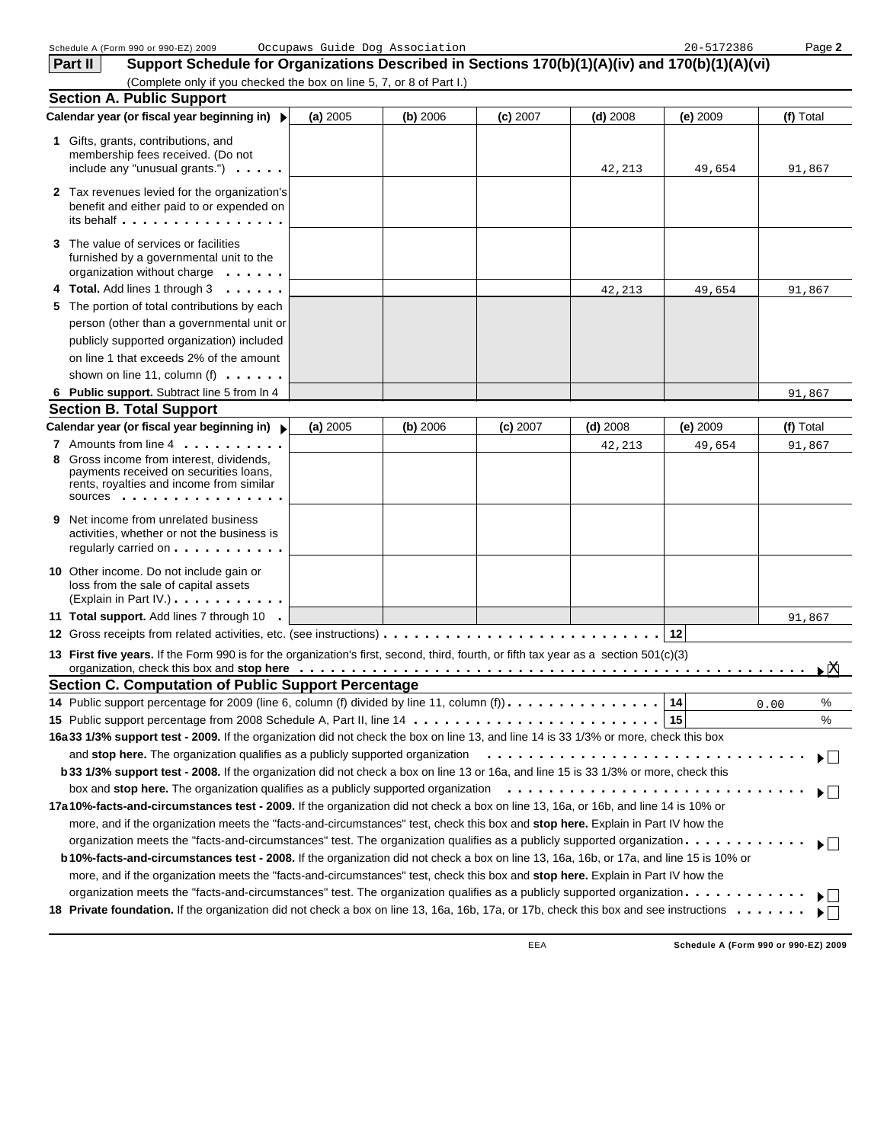|    | Schedule A (Form 990 or 990-EZ) 2009                                                                                                                                                                                                                            | Occupaws Guide Dog Association |            |            |            | 20-5172386 | Page 2                                                         |
|----|-----------------------------------------------------------------------------------------------------------------------------------------------------------------------------------------------------------------------------------------------------------------|--------------------------------|------------|------------|------------|------------|----------------------------------------------------------------|
|    | Support Schedule for Organizations Described in Sections 170(b)(1)(A)(iv) and 170(b)(1)(A)(vi)<br>Part II                                                                                                                                                       |                                |            |            |            |            |                                                                |
|    | (Complete only if you checked the box on line 5, 7, or 8 of Part I.)                                                                                                                                                                                            |                                |            |            |            |            |                                                                |
|    | <b>Section A. Public Support</b>                                                                                                                                                                                                                                |                                |            |            |            |            |                                                                |
|    | Calendar year (or fiscal year beginning in) ▶                                                                                                                                                                                                                   | (a) 2005                       | $(b)$ 2006 | $(c)$ 2007 | $(d)$ 2008 | (e) 2009   | (f) Total                                                      |
|    | 1 Gifts, grants, contributions, and<br>membership fees received. (Do not<br>include any "unusual grants.") $\cdots$                                                                                                                                             |                                |            |            | 42,213     | 49,654     | 91,867                                                         |
|    | <b>2</b> Tax revenues levied for the organization's<br>benefit and either paid to or expended on<br>its behalf                                                                                                                                                  |                                |            |            |            |            |                                                                |
|    | 3 The value of services or facilities<br>furnished by a governmental unit to the<br>organization without charge                                                                                                                                                 |                                |            |            |            |            |                                                                |
|    | 4 Total. Add lines 1 through 3                                                                                                                                                                                                                                  |                                |            |            | 42,213     | 49,654     | 91,867                                                         |
|    | 5 The portion of total contributions by each                                                                                                                                                                                                                    |                                |            |            |            |            |                                                                |
|    | person (other than a governmental unit or                                                                                                                                                                                                                       |                                |            |            |            |            |                                                                |
|    | publicly supported organization) included                                                                                                                                                                                                                       |                                |            |            |            |            |                                                                |
|    | on line 1 that exceeds 2% of the amount                                                                                                                                                                                                                         |                                |            |            |            |            |                                                                |
|    | shown on line 11, column (f) $\dots$ .                                                                                                                                                                                                                          |                                |            |            |            |            |                                                                |
|    | 6 Public support. Subtract line 5 from In 4                                                                                                                                                                                                                     |                                |            |            |            |            | 91,867                                                         |
|    | <b>Section B. Total Support</b>                                                                                                                                                                                                                                 |                                |            |            |            |            |                                                                |
|    | Calendar year (or fiscal year beginning in) >                                                                                                                                                                                                                   | (a) 2005                       | (b) 2006   | $(c)$ 2007 | $(d)$ 2008 | $(e)$ 2009 | (f) Total                                                      |
|    | 7 Amounts from line 4                                                                                                                                                                                                                                           |                                |            |            | 42,213     | 49,654     | 91,867                                                         |
| 8  | Gross income from interest, dividends,<br>payments received on securities loans,<br>rents, royalties and income from similar<br>SOUICES                                                                                                                         |                                |            |            |            |            |                                                                |
| 9. | Net income from unrelated business<br>activities, whether or not the business is<br>regularly carried on                                                                                                                                                        |                                |            |            |            |            |                                                                |
|    | 10 Other income. Do not include gain or<br>loss from the sale of capital assets<br>(Explain in Part IV.)                                                                                                                                                        |                                |            |            |            |            |                                                                |
|    | 11 Total support. Add lines 7 through 10 .                                                                                                                                                                                                                      |                                |            |            |            |            | 91,867                                                         |
|    |                                                                                                                                                                                                                                                                 |                                |            |            |            | 12         |                                                                |
|    | 13 First five years. If the Form 990 is for the organization's first, second, third, fourth, or fifth tax year as a section 501(c)(3)                                                                                                                           |                                |            |            |            |            |                                                                |
|    | <b>Section C. Computation of Public Support Percentage</b>                                                                                                                                                                                                      |                                |            |            |            |            |                                                                |
|    | 14 Public support percentage for 2009 (line 6, column (f) divided by line 11, column (f)).                                                                                                                                                                      |                                |            |            |            | 14         | %<br>0.00                                                      |
|    |                                                                                                                                                                                                                                                                 |                                |            |            |            |            | ℅                                                              |
|    | 16a 33 1/3% support test - 2009. If the organization did not check the box on line 13, and line 14 is 33 1/3% or more, check this box                                                                                                                           |                                |            |            |            |            |                                                                |
|    | and stop here. The organization qualifies as a publicly supported organization                                                                                                                                                                                  |                                |            |            |            |            | $\blacktriangleright$ $\vdash$                                 |
|    | b 33 1/3% support test - 2008. If the organization did not check a box on line 13 or 16a, and line 15 is 33 1/3% or more, check this                                                                                                                            |                                |            |            |            |            |                                                                |
|    | box and stop here. The organization qualifies as a publicly supported organization                                                                                                                                                                              |                                |            |            |            |            | ▶│ ∣                                                           |
|    | 17a 10%-facts-and-circumstances test - 2009. If the organization did not check a box on line 13, 16a, or 16b, and line 14 is 10% or                                                                                                                             |                                |            |            |            |            |                                                                |
|    | more, and if the organization meets the "facts-and-circumstances" test, check this box and stop here. Explain in Part IV how the                                                                                                                                |                                |            |            |            |            |                                                                |
|    | organization meets the "facts-and-circumstances" test. The organization qualifies as a publicly supported organization.                                                                                                                                         |                                |            |            |            |            | $\blacktriangleright$ $\vdash$                                 |
|    | b 10%-facts-and-circumstances test - 2008. If the organization did not check a box on line 13, 16a, 16b, or 17a, and line 15 is 10% or                                                                                                                          |                                |            |            |            |            |                                                                |
|    | more, and if the organization meets the "facts-and-circumstances" test, check this box and stop here. Explain in Part IV how the                                                                                                                                |                                |            |            |            |            |                                                                |
|    | organization meets the "facts-and-circumstances" test. The organization qualifies as a publicly supported organization<br>18 Private foundation. If the organization did not check a box on line 13, 16a, 16b, 17a, or 17b, check this box and see instructions |                                |            |            |            |            | $\blacktriangleright$ $\vdash$<br>$\blacktriangleright$ $\Box$ |
|    |                                                                                                                                                                                                                                                                 |                                |            |            |            |            |                                                                |

**Schedule A (Form 990 or 990-EZ) 2009**